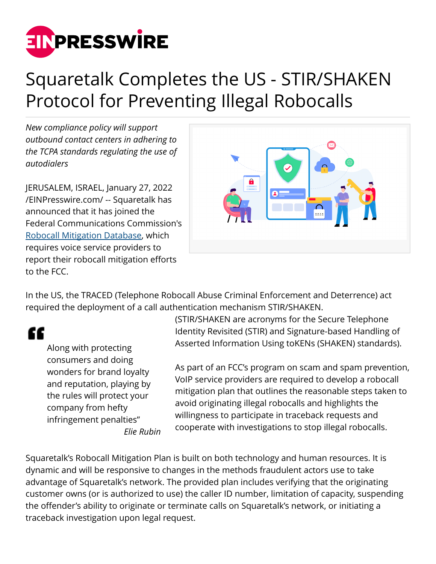

## Squaretalk Completes the US - STIR/SHAKEN Protocol for Preventing Illegal Robocalls

*New compliance policy will support outbound contact centers in adhering to the TCPA standards regulating the use of autodialers*

JERUSALEM, ISRAEL, January 27, 2022 [/EINPresswire.com/](http://www.einpresswire.com) -- Squaretalk has announced that it has joined the Federal Communications Commission's [Robocall Mitigation Database,](https://fccprod.servicenowservices.com/rmd?id=rmd_listings) which requires voice service providers to report their robocall mitigation efforts to the FCC.



In the US, the TRACED (Telephone Robocall Abuse Criminal Enforcement and Deterrence) act required the deployment of a call authentication mechanism STIR/SHAKEN.

££

Along with protecting consumers and doing wonders for brand loyalty and reputation, playing by the rules will protect your company from hefty infringement penalties" *Elie Rubin* (STIR/SHAKEN are acronyms for the Secure Telephone Identity Revisited (STIR) and Signature-based Handling of Asserted Information Using toKENs (SHAKEN) standards).

As part of an FCC's program on scam and spam prevention, VoIP service providers are required to develop a robocall mitigation plan that outlines the reasonable steps taken to avoid originating illegal robocalls and highlights the willingness to participate in traceback requests and cooperate with investigations to stop illegal robocalls.

Squaretalk's Robocall Mitigation Plan is built on both technology and human resources. It is dynamic and will be responsive to changes in the methods fraudulent actors use to take advantage of Squaretalk's network. The provided plan includes verifying that the originating customer owns (or is authorized to use) the caller ID number, limitation of capacity, suspending the offender's ability to originate or terminate calls on Squaretalk's network, or initiating a traceback investigation upon legal request.